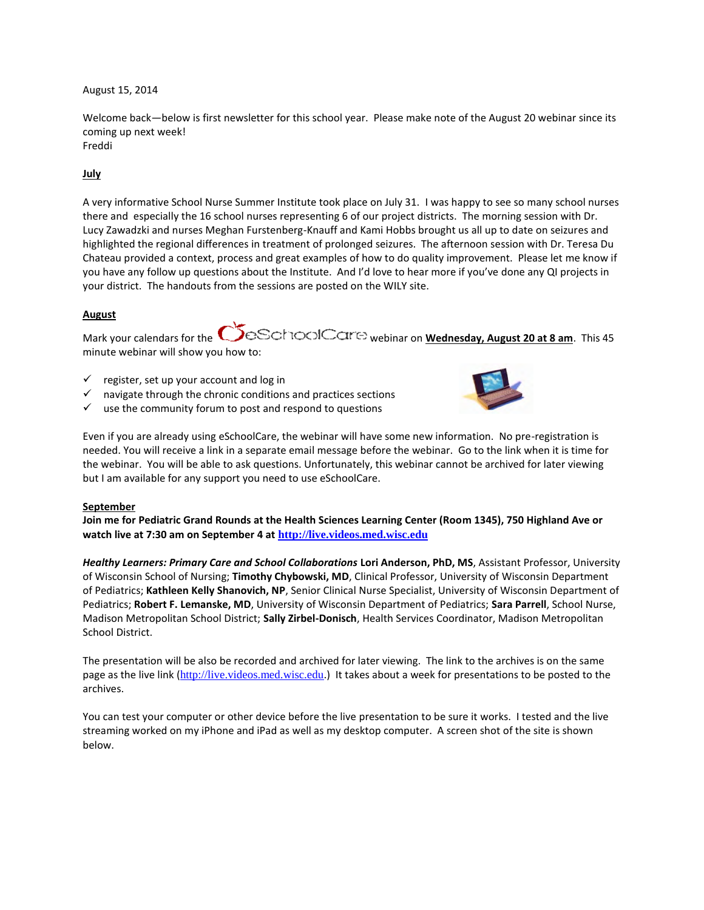### August 15, 2014

Welcome back—below is first newsletter for this school year. Please make note of the August 20 webinar since its coming up next week! Freddi

# **July**

A very informative School Nurse Summer Institute took place on July 31. I was happy to see so many school nurses there and especially the 16 school nurses representing 6 of our project districts. The morning session with Dr. Lucy Zawadzki and nurses Meghan Furstenberg-Knauff and Kami Hobbs brought us all up to date on seizures and highlighted the regional differences in treatment of prolonged seizures. The afternoon session with Dr. Teresa Du Chateau provided a context, process and great examples of how to do quality improvement. Please let me know if you have any follow up questions about the Institute. And I'd love to hear more if you've done any QI projects in your district. The handouts from the sessions are posted on the WILY site.

### **August**

Mark your calendars for the **CO**BSCHOOICCLIES webinar on **Wednesday, August 20 at 8 am**. This 45 minute webinar will show you how to:

- $\checkmark$  register, set up your account and log in
- navigate through the chronic conditions and practices sections
- $\checkmark$  use the community forum to post and respond to questions



Even if you are already using eSchoolCare, the webinar will have some new information. No pre-registration is needed. You will receive a link in a separate email message before the webinar. Go to the link when it is time for the webinar. You will be able to ask questions. Unfortunately, this webinar cannot be archived for later viewing but I am available for any support you need to use eSchoolCare.

#### **September**

**Join me for Pediatric Grand Rounds at the Health Sciences Learning Center (Room 1345), 750 Highland Ave or watch live at 7:30 am on September 4 at [http://live.videos.med.wisc.edu](http://live.videos.med.wisc.edu/)**

*Healthy Learners: Primary Care and School Collaborations* **Lori Anderson, PhD, MS**, Assistant Professor, University of Wisconsin School of Nursing; **Timothy Chybowski, MD**, Clinical Professor, University of Wisconsin Department of Pediatrics; **Kathleen Kelly Shanovich, NP**, Senior Clinical Nurse Specialist, University of Wisconsin Department of Pediatrics; **Robert F. Lemanske, MD**, University of Wisconsin Department of Pediatrics; **Sara Parrell**, School Nurse, Madison Metropolitan School District; **Sally Zirbel-Donisch**, Health Services Coordinator, Madison Metropolitan School District.

The presentation will be also be recorded and archived for later viewing. The link to the archives is on the same page as the live link ([http://live.videos.med.wisc.edu](http://live.videos.med.wisc.edu/).) It takes about a week for presentations to be posted to the archives.

You can test your computer or other device before the live presentation to be sure it works. I tested and the live streaming worked on my iPhone and iPad as well as my desktop computer. A screen shot of the site is shown below.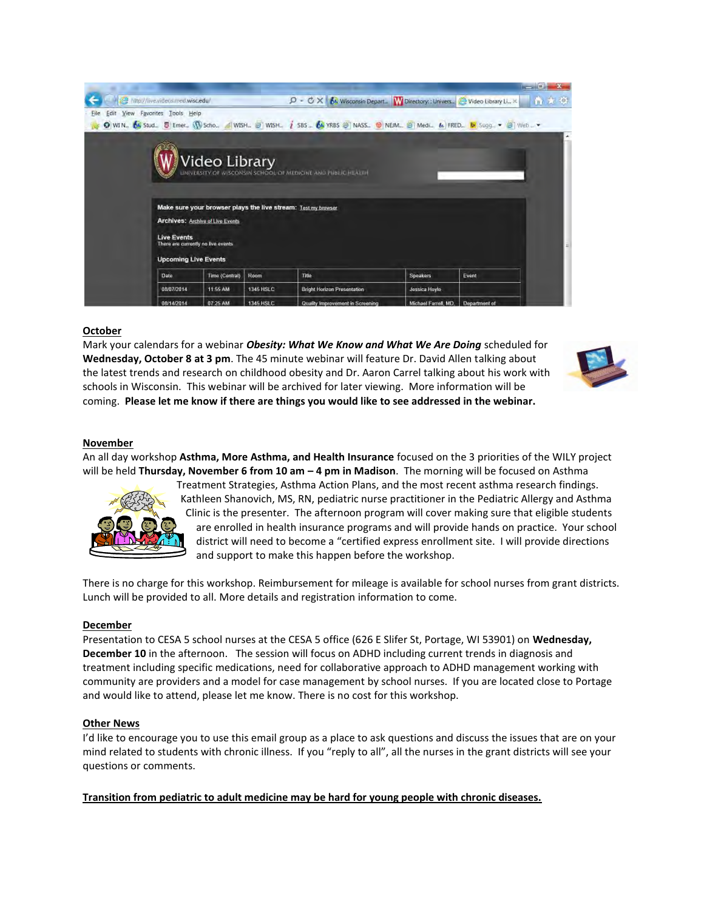|                                                                                                                                                                            |           |                                                                                                                                                     |                      |               | <b>March 1979</b> |
|----------------------------------------------------------------------------------------------------------------------------------------------------------------------------|-----------|-----------------------------------------------------------------------------------------------------------------------------------------------------|----------------------|---------------|-------------------|
| http://live.videos.med.wisc.edu/                                                                                                                                           |           | $\mathcal{D}$ - $\mathcal{O} \times \left\{ \mathcal{N} \right\}$ Wisconsin Depart. W Directory: Univers. $\mathcal{O}$ Video Library Li., $\times$ |                      |               | 冷まな               |
| View Favorites Tools Help<br>Edit<br>Eile<br>O WIN., & Stud., S Emer., (W Scho., A WISH., & WISH., 1 SBS., 68 YRBS & NASS., @ NEM., 8 Medi., & FRED., D Sugg., > 8 Web., > |           |                                                                                                                                                     |                      |               |                   |
| Make sure your browser plays the live stream: Test my browser                                                                                                              |           | Video Library                                                                                                                                       |                      |               |                   |
| <b>Archives: Archive of Live Events</b><br><b>Live Events</b><br>There are currently no live events<br><b>Upcoming Live Events</b>                                         |           |                                                                                                                                                     |                      |               |                   |
| Date.<br>Time (Central)                                                                                                                                                    | Room      | Title                                                                                                                                               | Speakers             | Event         |                   |
| 11:55 AM<br>08/07/2014                                                                                                                                                     | 1345 HSLC | <b>Bright Horizon Presentation</b>                                                                                                                  | Jessica Hoyle        |               |                   |
| 07:25 AM<br>08/14/2014                                                                                                                                                     | 1345 HSLC | Quality Improvement in Screening                                                                                                                    | Michael Farrell, MD. | Department of |                   |

### **October**

Mark your calendars for a webinar *Obesity: What We Know and What We Are Doing* scheduled for **Wednesday, October 8 at 3 pm**. The 45 minute webinar will feature Dr. David Allen talking about the latest trends and research on childhood obesity and Dr. Aaron Carrel talking about his work with schools in Wisconsin. This webinar will be archived for later viewing. More information will be coming. **Please let me know if there are things you would like to see addressed in the webinar.** 



### **November**

An all day workshop **Asthma, More Asthma, and Health Insurance** focused on the 3 priorities of the WILY project will be held **Thursday, November 6 from 10 am – 4 pm in Madison**. The morning will be focused on Asthma



Treatment Strategies, Asthma Action Plans, and the most recent asthma research findings. Kathleen Shanovich, MS, RN, pediatric nurse practitioner in the Pediatric Allergy and Asthma Clinic is the presenter. The afternoon program will cover making sure that eligible students are enrolled in health insurance programs and will provide hands on practice. Your school district will need to become a "certified express enrollment site. I will provide directions and support to make this happen before the workshop.

There is no charge for this workshop. Reimbursement for mileage is available for school nurses from grant districts. Lunch will be provided to all. More details and registration information to come.

#### **December**

Presentation to CESA 5 school nurses at the CESA 5 office (626 E Slifer St, Portage, WI 53901) on **Wednesday, December 10** in the afternoon. The session will focus on ADHD including current trends in diagnosis and treatment including specific medications, need for collaborative approach to ADHD management working with community are providers and a model for case management by school nurses. If you are located close to Portage and would like to attend, please let me know. There is no cost for this workshop.

#### **Other News**

I'd like to encourage you to use this email group as a place to ask questions and discuss the issues that are on your mind related to students with chronic illness. If you "reply to all", all the nurses in the grant districts will see your questions or comments.

**Transition from pediatric to adult medicine may be hard for young people with chronic diseases.**